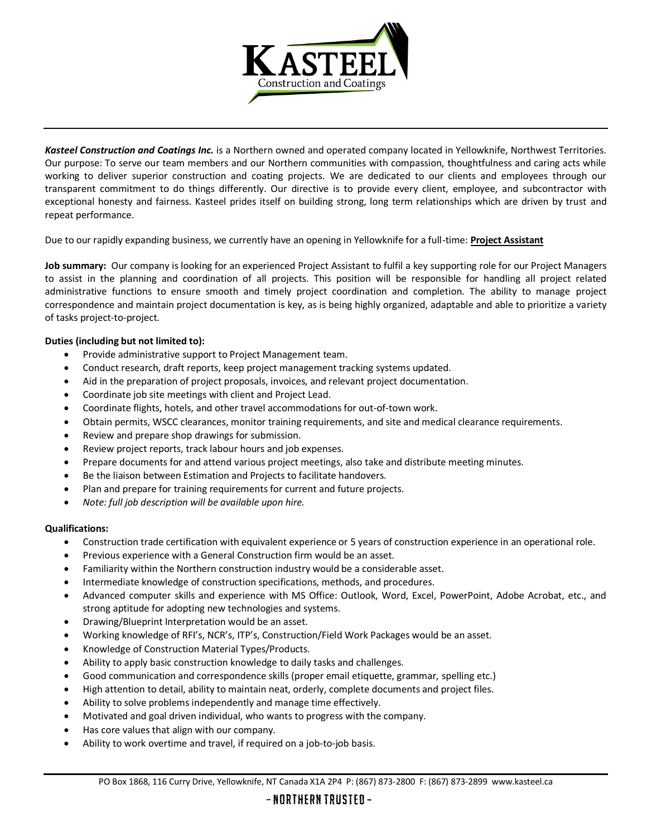

*Kasteel Construction and Coatings Inc.* is a Northern owned and operated company located in Yellowknife, Northwest Territories. Our purpose: To serve our team members and our Northern communities with compassion, thoughtfulness and caring acts while working to deliver superior construction and coating projects. We are dedicated to our clients and employees through our transparent commitment to do things differently. Our directive is to provide every client, employee, and subcontractor with exceptional honesty and fairness. Kasteel prides itself on building strong, long term relationships which are driven by trust and repeat performance.

Due to our rapidly expanding business, we currently have an opening in Yellowknife for a full-time: **Project Assistant**

**Job summary:** Our company is looking for an experienced Project Assistant to fulfil a key supporting role for our Project Managers to assist in the planning and coordination of all projects. This position will be responsible for handling all project related administrative functions to ensure smooth and timely project coordination and completion. The ability to manage project correspondence and maintain project documentation is key, as is being highly organized, adaptable and able to prioritize a variety of tasks project-to-project.

## **Duties (including but not limited to):**

- Provide administrative support to Project Management team.
- Conduct research, draft reports, keep project management tracking systems updated.
- Aid in the preparation of project proposals, invoices, and relevant project documentation.
- Coordinate job site meetings with client and Project Lead.
- Coordinate flights, hotels, and other travel accommodations for out-of-town work.
- Obtain permits, WSCC clearances, monitor training requirements, and site and medical clearance requirements.
- Review and prepare shop drawings for submission.
- Review project reports, track labour hours and job expenses.
- Prepare documents for and attend various project meetings, also take and distribute meeting minutes.
- Be the liaison between Estimation and Projects to facilitate handovers.
- Plan and prepare for training requirements for current and future projects.
- *Note: full job description will be available upon hire.*

## **Qualifications:**

- Construction trade certification with equivalent experience or 5 years of construction experience in an operational role.
- Previous experience with a General Construction firm would be an asset.
- Familiarity within the Northern construction industry would be a considerable asset.
- Intermediate knowledge of construction specifications, methods, and procedures.
- Advanced computer skills and experience with MS Office: Outlook, Word, Excel, PowerPoint, Adobe Acrobat, etc., and strong aptitude for adopting new technologies and systems.
- Drawing/Blueprint Interpretation would be an asset.
- Working knowledge of RFI's, NCR's, ITP's, Construction/Field Work Packages would be an asset.
- Knowledge of Construction Material Types/Products.
- Ability to apply basic construction knowledge to daily tasks and challenges.
- Good communication and correspondence skills (proper email etiquette, grammar, spelling etc.)
- High attention to detail, ability to maintain neat, orderly, complete documents and project files.
- Ability to solve problems independently and manage time effectively.
- Motivated and goal driven individual, who wants to progress with the company.
- Has core values that align with our company.
- Ability to work overtime and travel, if required on a job-to-job basis.